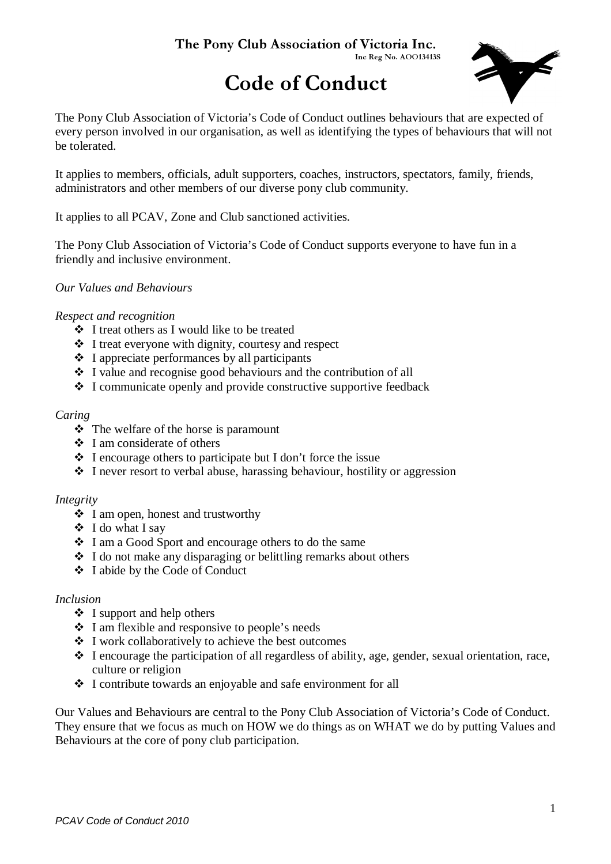#### The Pony Club Association of Victoria Inc. Inc Reg No. AOO13413S

# Code of Conduct



The Pony Club Association of Victoria's Code of Conduct outlines behaviours that are expected of every person involved in our organisation, as well as identifying the types of behaviours that will not be tolerated.

It applies to members, officials, adult supporters, coaches, instructors, spectators, family, friends, administrators and other members of our diverse pony club community.

It applies to all PCAV, Zone and Club sanctioned activities.

The Pony Club Association of Victoria's Code of Conduct supports everyone to have fun in a friendly and inclusive environment.

#### *Our Values and Behaviours*

#### *Respect and recognition*

- I treat others as I would like to be treated
- $\cdot \cdot$  I treat everyone with dignity, courtesy and respect
- $\div$  I appreciate performances by all participants
- $\cdot$  I value and recognise good behaviours and the contribution of all
- I communicate openly and provide constructive supportive feedback

#### *Caring*

- $\triangle$  The welfare of the horse is paramount
- $\cdot \cdot$  I am considerate of others
- $\triangle$  I encourage others to participate but I don't force the issue
- I never resort to verbal abuse, harassing behaviour, hostility or aggression

#### *Integrity*

- $\div$  I am open, honest and trustworthy
- I do what I say
- I am a Good Sport and encourage others to do the same
- I do not make any disparaging or belittling remarks about others
- I abide by the Code of Conduct

#### *Inclusion*

- $\div$  I support and help others
- I am flexible and responsive to people's needs
- I work collaboratively to achieve the best outcomes
- I encourage the participation of all regardless of ability, age, gender, sexual orientation, race, culture or religion
- I contribute towards an enjoyable and safe environment for all

Our Values and Behaviours are central to the Pony Club Association of Victoria's Code of Conduct. They ensure that we focus as much on HOW we do things as on WHAT we do by putting Values and Behaviours at the core of pony club participation.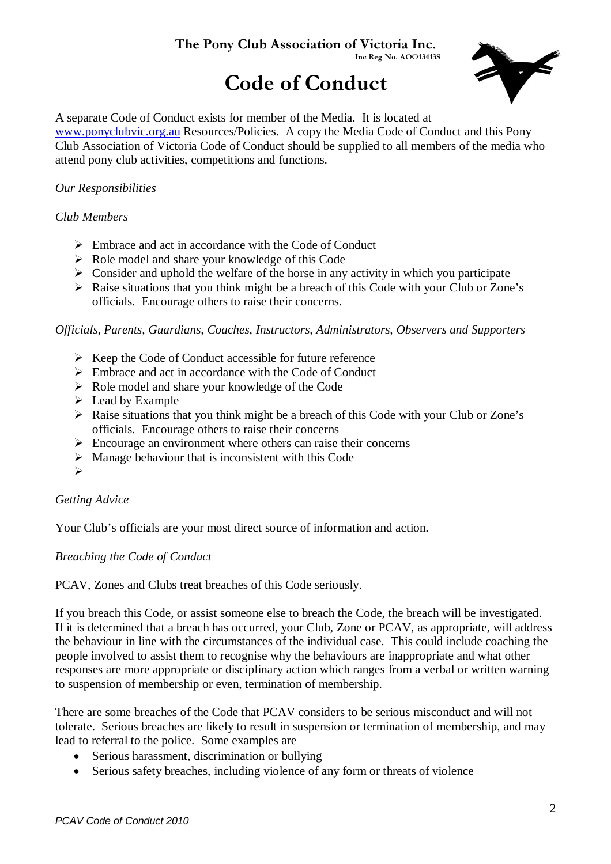# The Pony Club Association of Victoria Inc.

Inc Reg No. AOO13413S

# Code of Conduct



A separate Code of Conduct exists for member of the Media. It is located at www.ponyclubvic.org.au Resources/Policies. A copy the Media Code of Conduct and this Pony Club Association of Victoria Code of Conduct should be supplied to all members of the media who attend pony club activities, competitions and functions.

# *Our Responsibilities*

## *Club Members*

- > Embrace and act in accordance with the Code of Conduct
- > Role model and share your knowledge of this Code
- > Consider and uphold the welfare of the horse in any activity in which you participate
- > Raise situations that you think might be a breach of this Code with your Club or Zone's officials. Encourage others to raise their concerns.

*Officials, Parents, Guardians, Coaches, Instructors, Administrators, Observers and Supporters* 

- > Keep the Code of Conduct accessible for future reference
- > Embrace and act in accordance with the Code of Conduct
- > Role model and share your knowledge of the Code
- > Lead by Example
- > Raise situations that you think might be a breach of this Code with your Club or Zone's officials. Encourage others to raise their concerns
- Encourage an environment where others can raise their concerns
- > Manage behaviour that is inconsistent with this Code
- $\blacktriangleright$

## *Getting Advice*

Your Club's officials are your most direct source of information and action.

## *Breaching the Code of Conduct*

PCAV, Zones and Clubs treat breaches of this Code seriously.

If you breach this Code, or assist someone else to breach the Code, the breach will be investigated. If it is determined that a breach has occurred, your Club, Zone or PCAV, as appropriate, will address the behaviour in line with the circumstances of the individual case. This could include coaching the people involved to assist them to recognise why the behaviours are inappropriate and what other responses are more appropriate or disciplinary action which ranges from a verbal or written warning to suspension of membership or even, termination of membership.

There are some breaches of the Code that PCAV considers to be serious misconduct and will not tolerate. Serious breaches are likely to result in suspension or termination of membership, and may lead to referral to the police. Some examples are

- Serious harassment, discrimination or bullying
- Serious safety breaches, including violence of any form or threats of violence